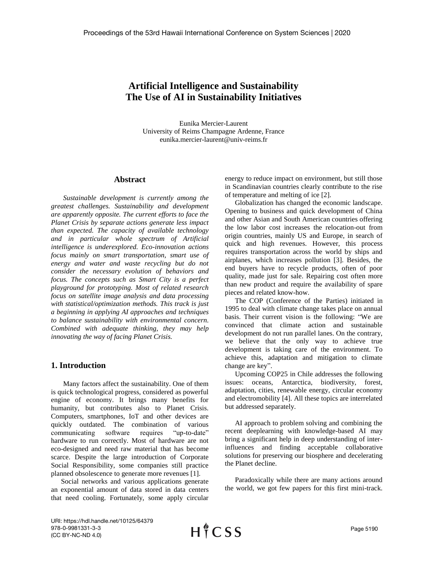# **Artificial Intelligence and Sustainability The Use of AI in Sustainability Initiatives**

Eunika Mercier-Laurent University of Reims Champagne Ardenne, France eunika.mercier-laurent@univ-reims.fr

#### **Abstract**

*Sustainable development is currently among the greatest challenges. Sustainability and development are apparently opposite. The current efforts to face the Planet Crisis by separate actions generate less impact than expected. The capacity of available technology and in particular whole spectrum of Artificial intelligence is underexplored. Eco-innovation actions focus mainly on smart transportation, smart use of energy and water and waste recycling but do not consider the necessary evolution of behaviors and focus. The concepts such as Smart City is a perfect playground for prototyping. Most of related research focus on satellite image analysis and data processing with statistical/optimization methods. This track is just a beginning in applying AI approaches and techniques to balance sustainability with environmental concern. Combined with adequate thinking, they may help innovating the way of facing Planet Crisis.*

#### **1. Introduction**

Many factors affect the sustainability. One of them is quick technological progress, considered as powerful engine of economy. It brings many benefits for humanity, but contributes also to Planet Crisis. Computers, smartphones, IoT and other devices are quickly outdated. The combination of various communicating software requires "up-to-date" hardware to run correctly. Most of hardware are not eco-designed and need raw material that has become scarce. Despite the large introduction of Corporate Social Responsibility, some companies still practice planned obsolescence to generate more revenues [1].

Social networks and various applications generate an exponential amount of data stored in data centers that need cooling. Fortunately, some apply circular

energy to reduce impact on environment, but still those in Scandinavian countries clearly contribute to the rise of temperature and melting of ice [2].

Globalization has changed the economic landscape. Opening to business and quick development of China and other Asian and South American countries offering the low labor cost increases the relocation-out from origin countries, mainly US and Europe, in search of quick and high revenues. However, this process requires transportation across the world by ships and airplanes, which increases pollution [3]. Besides, the end buyers have to recycle products, often of poor quality, made just for sale. Repairing cost often more than new product and require the availability of spare pieces and related know-how.

The COP (Conference of the Parties) initiated in 1995 to deal with climate change takes place on annual basis. Their current vision is the following: "We are convinced that climate action and sustainable development do not run parallel lanes. On the contrary, we believe that the only way to achieve true development is taking care of the environment. To achieve this, adaptation and mitigation to climate change are key".

Upcoming COP25 in Chile addresses the following issues: oceans, Antarctica, biodiversity, forest, adaptation, cities, renewable energy, circular economy and electromobility [4]. All these topics are interrelated but addressed separately.

AI approach to problem solving and combining the recent deeplearning with knowledge-based AI may bring a significant help in deep understanding of interinfluences and finding acceptable collaborative solutions for preserving our biosphere and decelerating the Planet decline.

Paradoxically while there are many actions around the world, we got few papers for this first mini-track.

URI: https://hdl.handle.net/10125/64379 978-0-9981331-3-3 (CC BY-NC-ND 4.0)